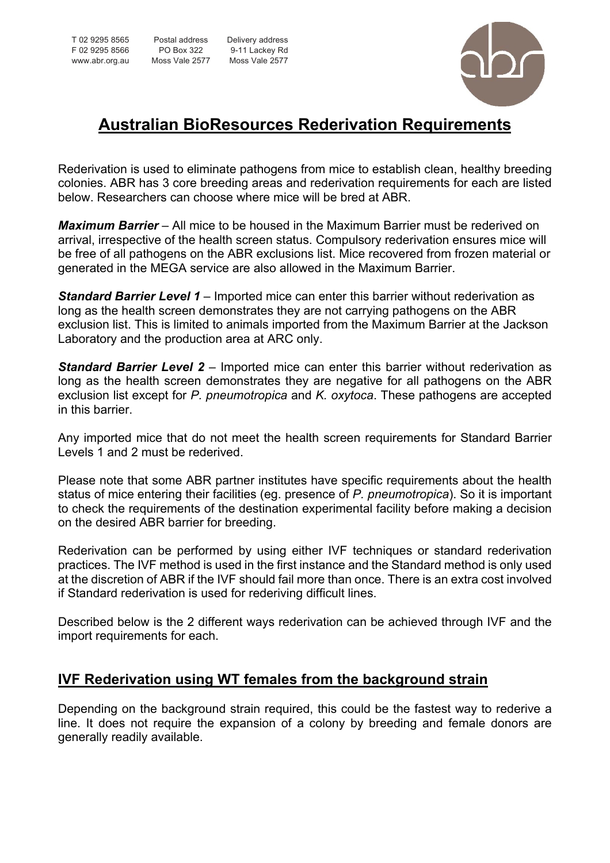T 02 9295 8565 Postal address Delivery address F 02 9295 8566 PO Box 322 9-11 Lackey Rd www.abr.org.au Moss Vale 2577 Moss Vale 2577



# **Australian BioResources Rederivation Requirements**

Rederivation is used to eliminate pathogens from mice to establish clean, healthy breeding colonies. ABR has 3 core breeding areas and rederivation requirements for each are listed below. Researchers can choose where mice will be bred at ABR.

*Maximum Barrier* – All mice to be housed in the Maximum Barrier must be rederived on arrival, irrespective of the health screen status. Compulsory rederivation ensures mice will be free of all pathogens on the ABR exclusions list. Mice recovered from frozen material or generated in the MEGA service are also allowed in the Maximum Barrier.

*Standard Barrier Level 1* – Imported mice can enter this barrier without rederivation as long as the health screen demonstrates they are not carrying pathogens on the ABR exclusion list. This is limited to animals imported from the Maximum Barrier at the Jackson Laboratory and the production area at ARC only.

*Standard Barrier Level 2* – Imported mice can enter this barrier without rederivation as long as the health screen demonstrates they are negative for all pathogens on the ABR exclusion list except for *P. pneumotropica* and *K. oxytoca*. These pathogens are accepted in this barrier.

Any imported mice that do not meet the health screen requirements for Standard Barrier Levels 1 and 2 must be rederived.

Please note that some ABR partner institutes have specific requirements about the health status of mice entering their facilities (eg. presence of *P. pneumotropica*). So it is important to check the requirements of the destination experimental facility before making a decision on the desired ABR barrier for breeding.

Rederivation can be performed by using either IVF techniques or standard rederivation practices. The IVF method is used in the first instance and the Standard method is only used at the discretion of ABR if the IVF should fail more than once. There is an extra cost involved if Standard rederivation is used for rederiving difficult lines.

Described below is the 2 different ways rederivation can be achieved through IVF and the import requirements for each.

# **IVF Rederivation using WT females from the background strain**

Depending on the background strain required, this could be the fastest way to rederive a line. It does not require the expansion of a colony by breeding and female donors are generally readily available.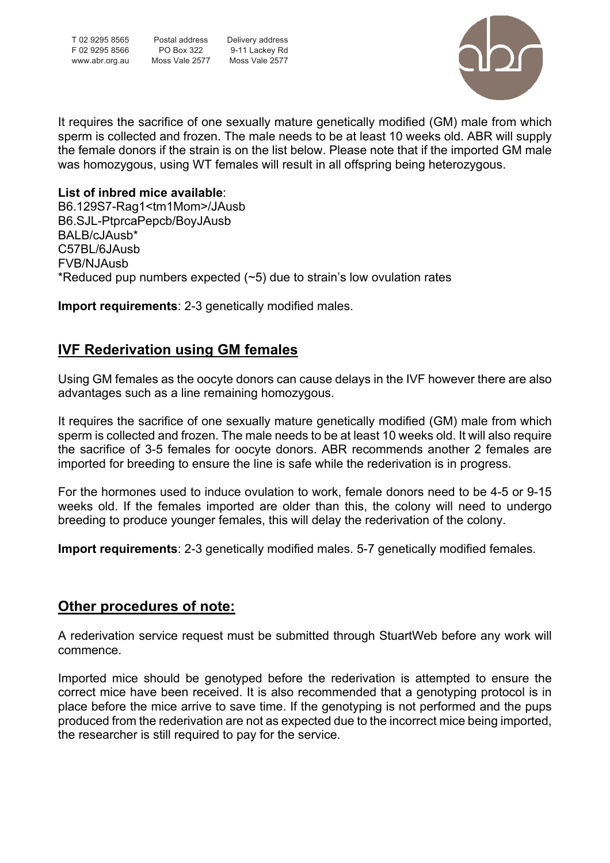T 02 9295 8565 Postal address Delivery address F 02 9295 8566 PO Box 322 9-11 Lackey Rd www.abr.org.au Moss Vale 2577 Moss Vale 2577



It requires the sacrifice of one sexually mature genetically modified (GM) male from which sperm is collected and frozen. The male needs to be at least 10 weeks old. ABR will supply the female donors if the strain is on the list below. Please note that if the imported GM male was homozygous, using WT females will result in all offspring being heterozygous.

#### **List of inbred mice available**:

B6.129S7-Rag1<tm1Mom>/JAusb B6.SJL-PtprcaPepcb/BoyJAusb BALB/cJAusb\* C57BL/6JAusb FVB/NJAusb \*Reduced pup numbers expected (~5) due to strain's low ovulation rates

**Import requirements**: 2-3 genetically modified males.

# **IVF Rederivation using GM females**

Using GM females as the oocyte donors can cause delays in the IVF however there are also advantages such as a line remaining homozygous.

It requires the sacrifice of one sexually mature genetically modified (GM) male from which sperm is collected and frozen. The male needs to be at least 10 weeks old. It will also require the sacrifice of 3-5 females for oocyte donors. ABR recommends another 2 females are imported for breeding to ensure the line is safe while the rederivation is in progress.

For the hormones used to induce ovulation to work, female donors need to be 4-5 or 9-15 weeks old. If the females imported are older than this, the colony will need to undergo breeding to produce younger females, this will delay the rederivation of the colony.

**Import requirements**: 2-3 genetically modified males. 5-7 genetically modified females.

## **Other procedures of note:**

A rederivation service request must be submitted through StuartWeb before any work will commence.

Imported mice should be genotyped before the rederivation is attempted to ensure the correct mice have been received. It is also recommended that a genotyping protocol is in place before the mice arrive to save time. If the genotyping is not performed and the pups produced from the rederivation are not as expected due to the incorrect mice being imported, the researcher is still required to pay for the service.